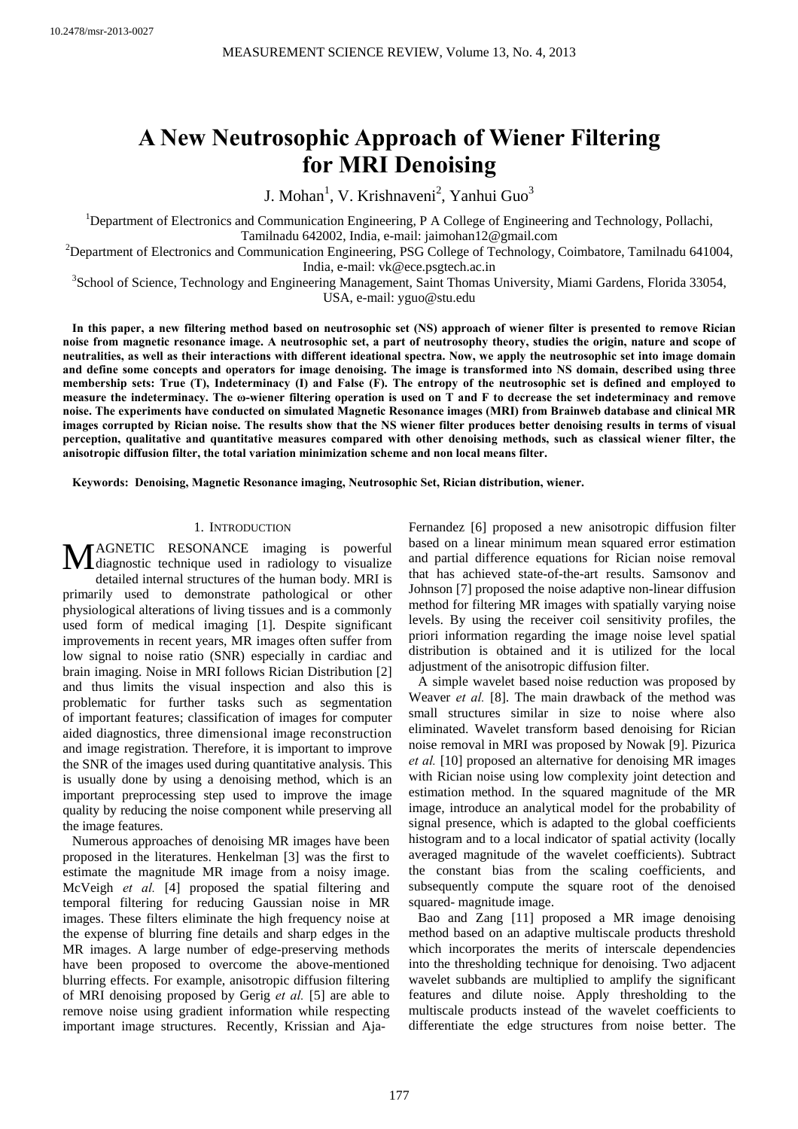# **A New Neutrosophic Approach of Wiener Filtering for MRI Denoising**

J. Mohan<sup>1</sup>, V. Krishnaveni<sup>2</sup>, Yanhui Guo<sup>3</sup>

<sup>1</sup>Department of Electronics and Communication Engineering, P A College of Engineering and Technology, Pollachi, Tamilnadu 642002, India, e-mail: jaimohan12@gmail.com 2

 $\Omega$ Pepartment of Electronics and Communication Engineering, PSG College of Technology, Coimbatore, Tamilnadu 641004,

India, e-mail: vk@ece.psgtech.ac.in<br><sup>3</sup>School of Science, Technology and Engineering Management, Saint Thomas University, Miami Gardens, Florida 33054,

USA, e-mail: yguo@stu.edu

**In this paper, a new filtering method based on neutrosophic set (NS) approach of wiener filter is presented to remove Rician noise from magnetic resonance image. A neutrosophic set, a part of neutrosophy theory, studies the origin, nature and scope of neutralities, as well as their interactions with different ideational spectra. Now, we apply the neutrosophic set into image domain and define some concepts and operators for image denoising. The image is transformed into NS domain, described using three membership sets: True (T), Indeterminacy (I) and False (F). The entropy of the neutrosophic set is defined and employed to measure the indeterminacy. The ω-wiener filtering operation is used on T and F to decrease the set indeterminacy and remove noise. The experiments have conducted on simulated Magnetic Resonance images (MRI) from Brainweb database and clinical MR images corrupted by Rician noise. The results show that the NS wiener filter produces better denoising results in terms of visual perception, qualitative and quantitative measures compared with other denoising methods, such as classical wiener filter, the anisotropic diffusion filter, the total variation minimization scheme and non local means filter.** 

**Keywords: Denoising, Magnetic Resonance imaging, Neutrosophic Set, Rician distribution, wiener.** 

# 1. INTRODUCTION

AGNETIC RESONANCE imaging is powerful MAGNETIC RESONANCE imaging is powerful diagnostic technique used in radiology to visualize detailed internal structures of the human body. MRI is primarily used to demonstrate pathological or other physiological alterations of living tissues and is a commonly used form of medical imaging [1]. Despite significant improvements in recent years, MR images often suffer from low signal to noise ratio (SNR) especially in cardiac and brain imaging. Noise in MRI follows Rician Distribution [2] and thus limits the visual inspection and also this is problematic for further tasks such as segmentation of important features; classification of images for computer aided diagnostics, three dimensional image reconstruction and image registration. Therefore, it is important to improve the SNR of the images used during quantitative analysis. This is usually done by using a denoising method, which is an important preprocessing step used to improve the image quality by reducing the noise component while preserving all the image features.

Numerous approaches of denoising MR images have been proposed in the literatures. Henkelman [3] was the first to estimate the magnitude MR image from a noisy image. McVeigh *et al.* [4] proposed the spatial filtering and temporal filtering for reducing Gaussian noise in MR images. These filters eliminate the high frequency noise at the expense of blurring fine details and sharp edges in the MR images. A large number of edge-preserving methods have been proposed to overcome the above-mentioned blurring effects. For example, anisotropic diffusion filtering of MRI denoising proposed by Gerig *et al.* [5] are able to remove noise using gradient information while respecting important image structures. Recently, Krissian and AjaFernandez [6] proposed a new anisotropic diffusion filter based on a linear minimum mean squared error estimation and partial difference equations for Rician noise removal that has achieved state-of-the-art results. Samsonov and Johnson [7] proposed the noise adaptive non-linear diffusion method for filtering MR images with spatially varying noise levels. By using the receiver coil sensitivity profiles, the priori information regarding the image noise level spatial distribution is obtained and it is utilized for the local adjustment of the anisotropic diffusion filter.

A simple wavelet based noise reduction was proposed by Weaver *et al.* [8]. The main drawback of the method was small structures similar in size to noise where also eliminated. Wavelet transform based denoising for Rician noise removal in MRI was proposed by Nowak [9]. Pizurica *et al.* [10] proposed an alternative for denoising MR images with Rician noise using low complexity joint detection and estimation method. In the squared magnitude of the MR image, introduce an analytical model for the probability of signal presence, which is adapted to the global coefficients histogram and to a local indicator of spatial activity (locally averaged magnitude of the wavelet coefficients). Subtract the constant bias from the scaling coefficients, and subsequently compute the square root of the denoised squared- magnitude image.

Bao and Zang [11] proposed a MR image denoising method based on an adaptive multiscale products threshold which incorporates the merits of interscale dependencies into the thresholding technique for denoising. Two adjacent wavelet subbands are multiplied to amplify the significant features and dilute noise. Apply thresholding to the multiscale products instead of the wavelet coefficients to differentiate the edge structures from noise better. The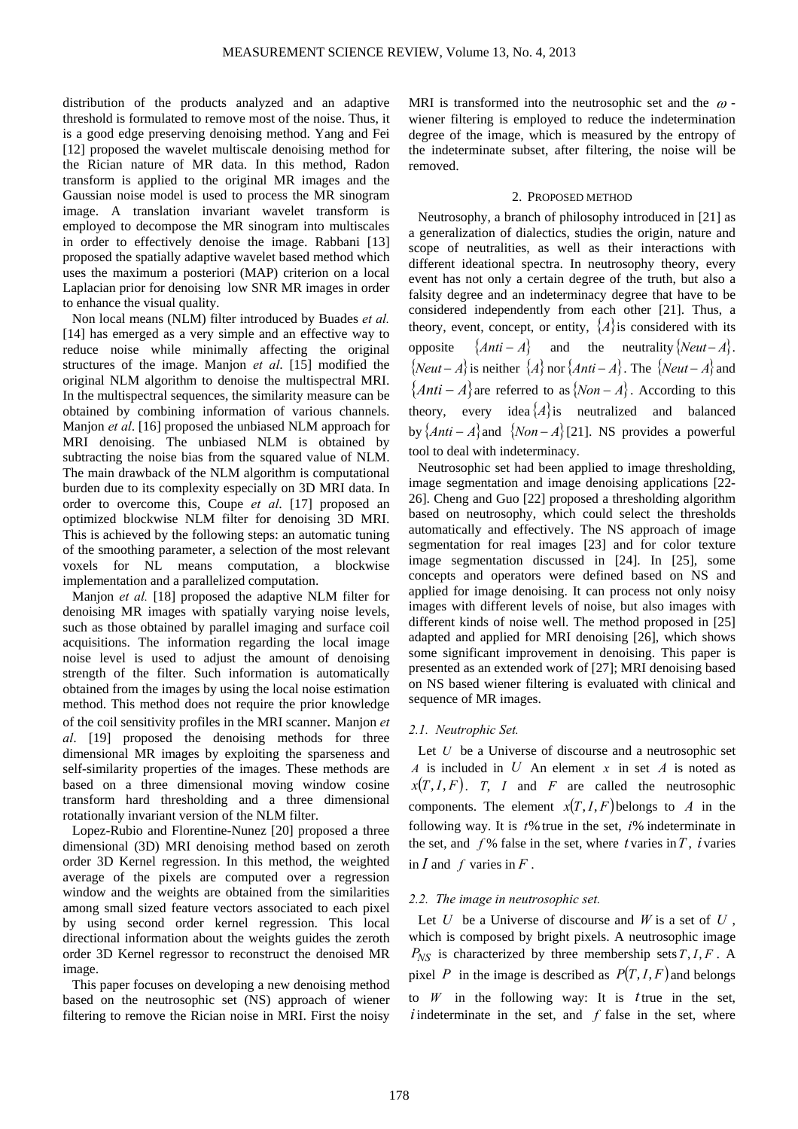distribution of the products analyzed and an adaptive threshold is formulated to remove most of the noise. Thus, it is a good edge preserving denoising method. Yang and Fei [12] proposed the wavelet multiscale denoising method for the Rician nature of MR data. In this method, Radon transform is applied to the original MR images and the Gaussian noise model is used to process the MR sinogram image. A translation invariant wavelet transform is employed to decompose the MR sinogram into multiscales in order to effectively denoise the image. Rabbani [13] proposed the spatially adaptive wavelet based method which uses the maximum a posteriori (MAP) criterion on a local Laplacian prior for denoising low SNR MR images in order to enhance the visual quality.

Non local means (NLM) filter introduced by Buades *et al.* [14] has emerged as a very simple and an effective way to reduce noise while minimally affecting the original structures of the image. Manjon *et al*. [15] modified the original NLM algorithm to denoise the multispectral MRI. In the multispectral sequences, the similarity measure can be obtained by combining information of various channels. Manjon *et al*. [16] proposed the unbiased NLM approach for MRI denoising. The unbiased NLM is obtained by subtracting the noise bias from the squared value of NLM. The main drawback of the NLM algorithm is computational burden due to its complexity especially on 3D MRI data. In order to overcome this, Coupe *et al*. [17] proposed an optimized blockwise NLM filter for denoising 3D MRI. This is achieved by the following steps: an automatic tuning of the smoothing parameter, a selection of the most relevant voxels for NL means computation, a blockwise implementation and a parallelized computation.

Manjon *et al.* [18] proposed the adaptive NLM filter for denoising MR images with spatially varying noise levels, such as those obtained by parallel imaging and surface coil acquisitions. The information regarding the local image noise level is used to adjust the amount of denoising strength of the filter. Such information is automatically obtained from the images by using the local noise estimation method. This method does not require the prior knowledge of the coil sensitivity profiles in the MRI scanner. Manjon *et al*. [19] proposed the denoising methods for three dimensional MR images by exploiting the sparseness and self-similarity properties of the images. These methods are based on a three dimensional moving window cosine transform hard thresholding and a three dimensional rotationally invariant version of the NLM filter.

Lopez-Rubio and Florentine-Nunez [20] proposed a three dimensional (3D) MRI denoising method based on zeroth order 3D Kernel regression. In this method, the weighted average of the pixels are computed over a regression window and the weights are obtained from the similarities among small sized feature vectors associated to each pixel by using second order kernel regression. This local directional information about the weights guides the zeroth order 3D Kernel regressor to reconstruct the denoised MR image.

This paper focuses on developing a new denoising method based on the neutrosophic set (NS) approach of wiener filtering to remove the Rician noise in MRI. First the noisy MRI is transformed into the neutrosophic set and the  $\omega$  wiener filtering is employed to reduce the indetermination degree of the image, which is measured by the entropy of the indeterminate subset, after filtering, the noise will be removed.

#### 2. PROPOSED METHOD

Neutrosophy, a branch of philosophy introduced in [21] as a generalization of dialectics, studies the origin, nature and scope of neutralities, as well as their interactions with different ideational spectra. In neutrosophy theory, every event has not only a certain degree of the truth, but also a falsity degree and an indeterminacy degree that have to be considered independently from each other [21]. Thus, a theory, event, concept, or entity,  $\{A\}$  is considered with its opposite  $\{Anti - A\}$  and the neutrality  $\{Neut - A\}$ .  ${$ *Neut* − *A*} is neither  ${A}$  nor  ${Anti - A}$ . The  ${Newt - A}$  and  ${Anti - A}$ are referred to as  ${Non - A}$ . According to this theory, every idea $\{A\}$ is neutralized and balanced by  $\{Anti - A\}$  and  $\{Non - A\}$ [21]. NS provides a powerful tool to deal with indeterminacy.

Neutrosophic set had been applied to image thresholding, image segmentation and image denoising applications [22-26]. Cheng and Guo [22] proposed a thresholding algorithm based on neutrosophy, which could select the thresholds automatically and effectively. The NS approach of image segmentation for real images [23] and for color texture image segmentation discussed in [24]. In [25], some concepts and operators were defined based on NS and applied for image denoising. It can process not only noisy images with different levels of noise, but also images with different kinds of noise well. The method proposed in [25] adapted and applied for MRI denoising [26], which shows some significant improvement in denoising. This paper is presented as an extended work of [27]; MRI denoising based on NS based wiener filtering is evaluated with clinical and sequence of MR images.

# *2.1. Neutrophic Set.*

Let *U* be a Universe of discourse and a neutrosophic set *A* is included in *U* An element *x* in set *A* is noted as  $x(T, I, F)$ . *T*, *I* and *F* are called the neutrosophic components. The element  $x(T, I, F)$  belongs to *A* in the following way. It is *t*% true in the set, *i*% indeterminate in the set, and  $f\%$  false in the set, where *t* varies in *T*, *i* varies in  $I$  and  $f$  varies in  $F$ .

# *2.2. The image in neutrosophic set.*

Let *U* be a Universe of discourse and *W* is a set of *U* , which is composed by bright pixels. A neutrosophic image  $P_{NS}$  is characterized by three membership sets  $T, I, F$ . A pixel *P* in the image is described as  $P(T, I, F)$  and belongs to *W* in the following way: It is *t*true in the set, *i* indeterminate in the set, and *f* false in the set, where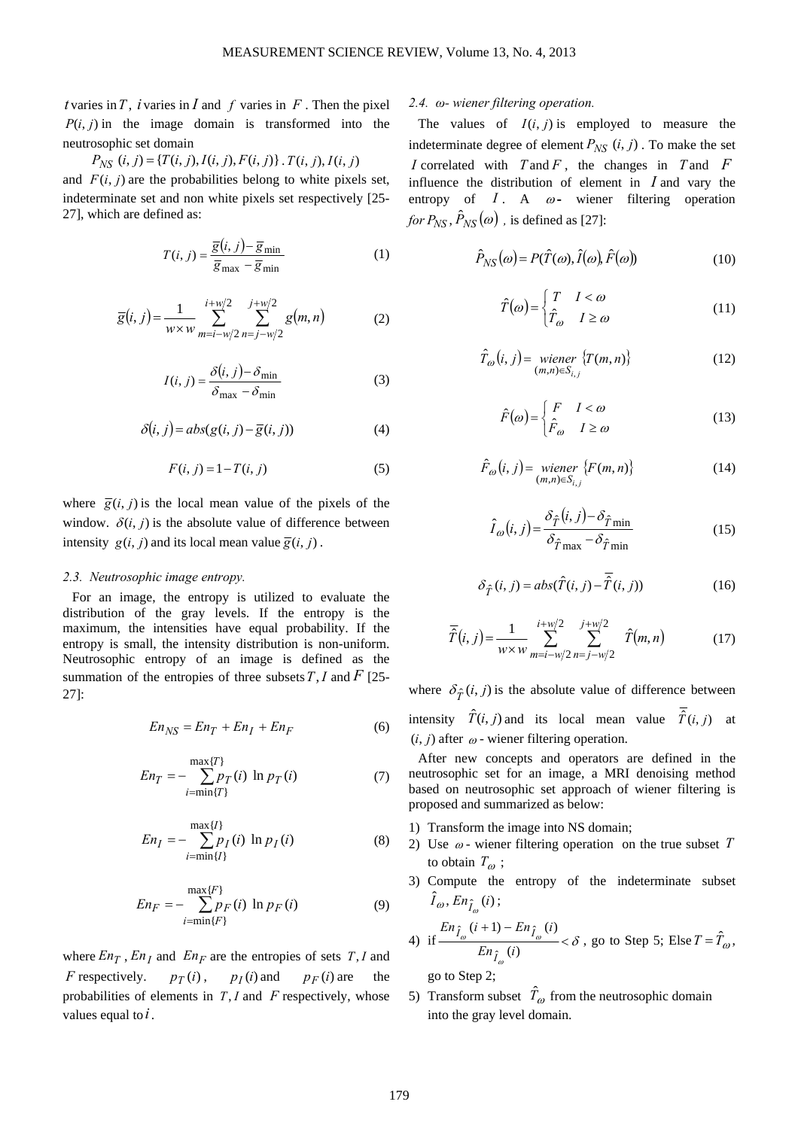*t* varies in *T*, *i* varies in *I* and *f* varies in *F*. Then the pixel  $P(i, j)$  in the image domain is transformed into the neutrosophic set domain

$$
P_{NS}(i, j) = \{T(i, j), I(i, j), F(i, j)\} . T(i, j), I(i, j)
$$

and  $F(i, j)$  are the probabilities belong to white pixels set, indeterminate set and non white pixels set respectively [25- 27], which are defined as:

$$
T(i, j) = \frac{\overline{g}(i, j) - \overline{g}_{\min}}{\overline{g}_{\max} - \overline{g}_{\min}}
$$
(1)

$$
\overline{g}(i,j) = \frac{1}{w \times w} \sum_{m=i-w/2}^{i+w/2} \sum_{n=j-w/2}^{j+w/2} g(m,n)
$$
(2)

$$
I(i, j) = \frac{\delta(i, j) - \delta_{\min}}{\delta_{\max} - \delta_{\min}}
$$
(3)

$$
\delta(i, j) = abs(g(i, j) - \overline{g}(i, j))
$$
\n(4)

$$
F(i, j) = 1 - T(i, j) \tag{5}
$$

where  $\overline{g}(i, j)$  is the local mean value of the pixels of the window.  $\delta(i, j)$  is the absolute value of difference between intensity  $g(i, j)$  and its local mean value  $\overline{g}(i, j)$ .

#### *2.3. Neutrosophic image entropy.*

For an image, the entropy is utilized to evaluate the distribution of the gray levels. If the entropy is the maximum, the intensities have equal probability. If the entropy is small, the intensity distribution is non-uniform. Neutrosophic entropy of an image is defined as the summation of the entropies of three subsets*T*,*I* and *F* [25- 27]:

$$
En_{NS} = En_T + En_I + En_F \tag{6}
$$

$$
En_T = -\sum_{i=\min\{T\}}^{\max\{T\}} p_T(i) \ln p_T(i) \tag{7}
$$

$$
En_I = -\sum_{i=\min\{I\}}^{\max\{I\}} p_I(i) \ln p_I(i)
$$
 (8)

$$
En_F = -\sum_{i=\min\{F\}}^{\max\{F\}} p_F(i) \ln p_F(i)
$$
 (9)

where  $En<sub>T</sub>$ ,  $En<sub>I</sub>$  and  $En<sub>F</sub>$  are the entropies of sets *T*, *I* and *F* respectively.  $p_T(i)$ ,  $p_I(i)$  and  $p_F(i)$  are the probabilities of elements in *T*, *I* and *F* respectively, whose values equal to*i*.

# *2.4. ω- wiener filtering operation.*

The values of  $I(i, j)$  is employed to measure the indeterminate degree of element  $P_{NS}$   $(i, j)$ . To make the set *I* correlated with *T* and *F* , the changes in *T* and *F* influence the distribution of element in *I* and vary the entropy of  $I$ . A  $\omega$ - wiener filtering operation *for*  $P_{NS}$ ,  $\hat{P}_{NS}(\omega)$ , is defined as [27]:

$$
\hat{P}_{NS}(\omega) = P(\hat{T}(\omega), \hat{I}(\omega), \hat{F}(\omega))
$$
\n(10)

$$
\hat{T}(\omega) = \begin{cases}\nT & I < \omega \\
\hat{T}_{\omega} & I \ge \omega\n\end{cases}
$$
\n(11)

$$
\hat{T}_{\omega}(i,j) = \text{wiener }\{T(m,n)\}\
$$
\n<sup>(12)</sup>

$$
\hat{F}(\omega) = \begin{cases}\nF & I < \omega \\
\hat{F}_{\omega} & I \ge \omega\n\end{cases}
$$
\n(13)

$$
\hat{F}_{\omega}(i,j) = \text{wiener }\{F(m,n)\}\
$$
\n
$$
(14)
$$

$$
\hat{I}_{\omega}(i,j) = \frac{\delta_{\hat{T}}(i,j) - \delta_{\hat{T}\min}}{\delta_{\hat{T}\max} - \delta_{\hat{T}\min}}
$$
(15)

$$
\delta_{\hat{T}}(i,j) = abs(\hat{T}(i,j) - \overline{\hat{T}}(i,j))
$$
\n(16)

$$
\overline{\hat{T}}(i,j) = \frac{1}{w \times w} \sum_{m=i-w/2}^{i+w/2} \sum_{n=j-w/2}^{j+w/2} \hat{T}(m,n)
$$
(17)

where  $\delta_{\hat{T}}(i, j)$  is the absolute value of difference between intensity  $\hat{T}(i, j)$  and its local mean value  $\overline{\hat{T}}(i, j)$  at  $(i, j)$  after  $\omega$  - wiener filtering operation.

After new concepts and operators are defined in the neutrosophic set for an image, a MRI denoising method based on neutrosophic set approach of wiener filtering is proposed and summarized as below:

- 1) Transform the image into NS domain;
- 2) Use  $\omega$  wiener filtering operation on the true subset  $T$ to obtain  $T_{\omega}$ ;
- 3) Compute the entropy of the indeterminate subset  $\hat{I}_{\omega}$ ,  $En_{\hat{I}_{\omega}}(i)$ ;

4) if 
$$
\frac{En_{\hat{I}_{\omega}}(i+1) - En_{\hat{I}_{\omega}}(i)}{En_{\hat{I}_{\omega}}(i)} < \delta
$$
, go to Step 5; Else  $T = \hat{T}_{\omega}$ ,

go to Step 2;

5) Transform subset  $\hat{T}_{\omega}$  from the neutrosophic domain into the gray level domain.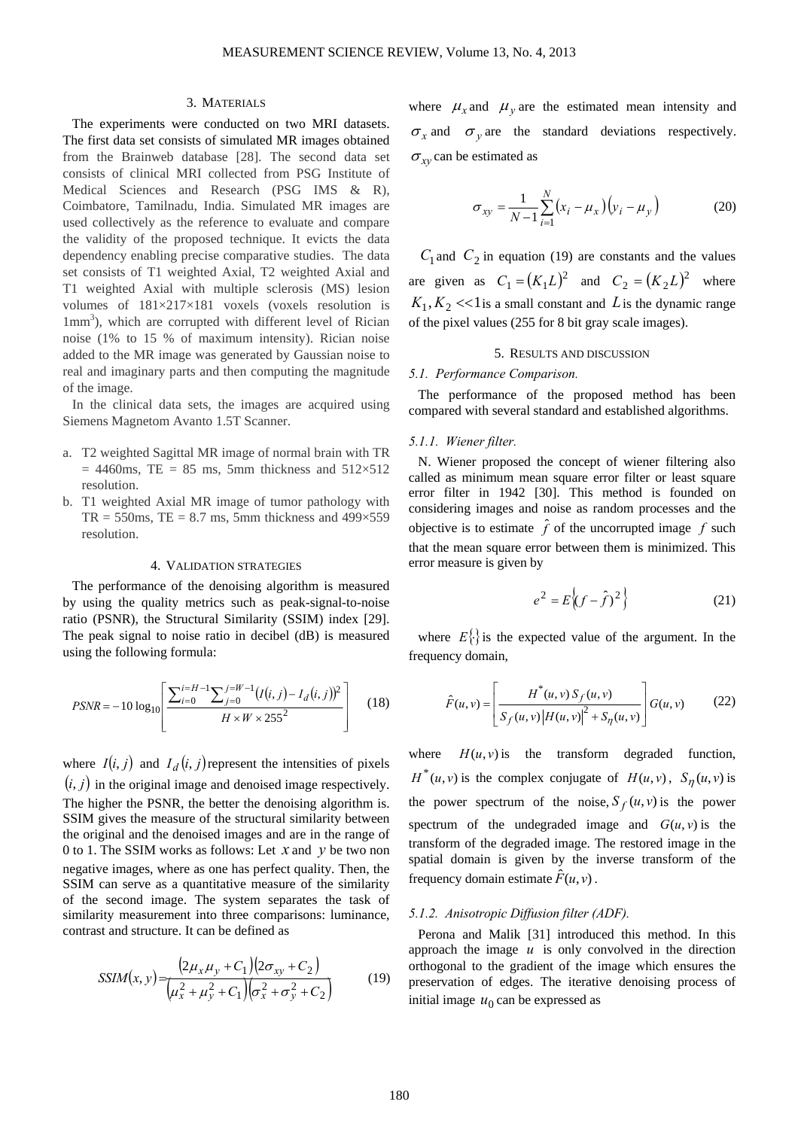#### 3. MATERIALS

The experiments were conducted on two MRI datasets. The first data set consists of simulated MR images obtained from the Brainweb database [28]. The second data set consists of clinical MRI collected from PSG Institute of Medical Sciences and Research (PSG IMS & R), Coimbatore, Tamilnadu, India. Simulated MR images are used collectively as the reference to evaluate and compare the validity of the proposed technique. It evicts the data dependency enabling precise comparative studies. The data set consists of T1 weighted Axial, T2 weighted Axial and T1 weighted Axial with multiple sclerosis (MS) lesion volumes of 181×217×181 voxels (voxels resolution is 1mm<sup>3</sup>), which are corrupted with different level of Rician noise (1% to 15 % of maximum intensity). Rician noise added to the MR image was generated by Gaussian noise to real and imaginary parts and then computing the magnitude of the image.

In the clinical data sets, the images are acquired using Siemens Magnetom Avanto 1.5T Scanner.

- a. T2 weighted Sagittal MR image of normal brain with TR  $= 4460$ ms, TE = 85 ms, 5mm thickness and 512×512 resolution.
- b. T1 weighted Axial MR image of tumor pathology with  $TR = 550$ ms,  $TE = 8.7$  ms, 5mm thickness and 499 $\times$ 559 resolution.

# 4. VALIDATION STRATEGIES

The performance of the denoising algorithm is measured by using the quality metrics such as peak-signal-to-noise ratio (PSNR), the Structural Similarity (SSIM) index [29]. The peak signal to noise ratio in decibel (dB) is measured using the following formula:

$$
PSNR = -10 \log_{10} \left[ \frac{\sum_{i=0}^{i=H-1} \sum_{j=0}^{j=W-1} (I(i,j) - I_d(i,j))^2}{H \times W \times 255^2} \right] \quad (18)
$$

where  $I(i, j)$  and  $I_d(i, j)$  represent the intensities of pixels  $(i, j)$  in the original image and denoised image respectively. The higher the PSNR, the better the denoising algorithm is. SSIM gives the measure of the structural similarity between the original and the denoised images and are in the range of 0 to 1. The SSIM works as follows: Let *x* and *y* be two non negative images, where as one has perfect quality. Then, the SSIM can serve as a quantitative measure of the similarity of the second image. The system separates the task of similarity measurement into three comparisons: luminance, contrast and structure. It can be defined as

$$
SSIM(x, y) = \frac{(2\mu_x \mu_y + C_1)(2\sigma_{xy} + C_2)}{(\mu_x^2 + \mu_y^2 + C_1)(\sigma_x^2 + \sigma_y^2 + C_2)}
$$
(19)

where  $\mu_x$  and  $\mu_y$  are the estimated mean intensity and  $\sigma_x$  and  $\sigma_y$  are the standard deviations respectively.  $\sigma_{xy}$  can be estimated as

$$
\sigma_{xy} = \frac{1}{N-1} \sum_{i=1}^{N} (x_i - \mu_x)(y_i - \mu_y)
$$
 (20)

 $C_1$  and  $C_2$  in equation (19) are constants and the values are given as  $C_1 = (K_1 L)^2$  and  $C_2 = (K_2 L)^2$  where  $K_1, K_2 \ll 1$  is a small constant and *L* is the dynamic range of the pixel values (255 for 8 bit gray scale images).

# 5. RESULTS AND DISCUSSION

## *5.1. Performance Comparison.*

The performance of the proposed method has been compared with several standard and established algorithms.

## *5.1.1. Wiener filter.*

N. Wiener proposed the concept of wiener filtering also called as minimum mean square error filter or least square error filter in 1942 [30]. This method is founded on considering images and noise as random processes and the objective is to estimate  $\hat{f}$  of the uncorrupted image  $f$  such that the mean square error between them is minimized. This error measure is given by

$$
e^{2} = E\left\{ (f - \hat{f})^{2} \right\}
$$
 (21)

where  $E\{\}$  is the expected value of the argument. In the frequency domain,

$$
\hat{F}(u,v) = \left[\frac{H^*(u,v) S_f(u,v)}{S_f(u,v) |H(u,v)|^2 + S_\eta(u,v)}\right] G(u,v) \tag{22}
$$

where  $H(u, v)$  is the transform degraded function,  $H^*(u, v)$  is the complex conjugate of  $H(u, v)$ ,  $S_n(u, v)$  is the power spectrum of the noise,  $S_f(u, v)$  is the power spectrum of the undegraded image and  $G(u, v)$  is the transform of the degraded image. The restored image in the spatial domain is given by the inverse transform of the frequency domain estimate  $\hat{F}(u, v)$ .

#### *5.1.2. Anisotropic Diffusion filter (ADF).*

Perona and Malik [31] introduced this method. In this approach the image  $u$  is only convolved in the direction orthogonal to the gradient of the image which ensures the preservation of edges. The iterative denoising process of initial image  $u_0$  can be expressed as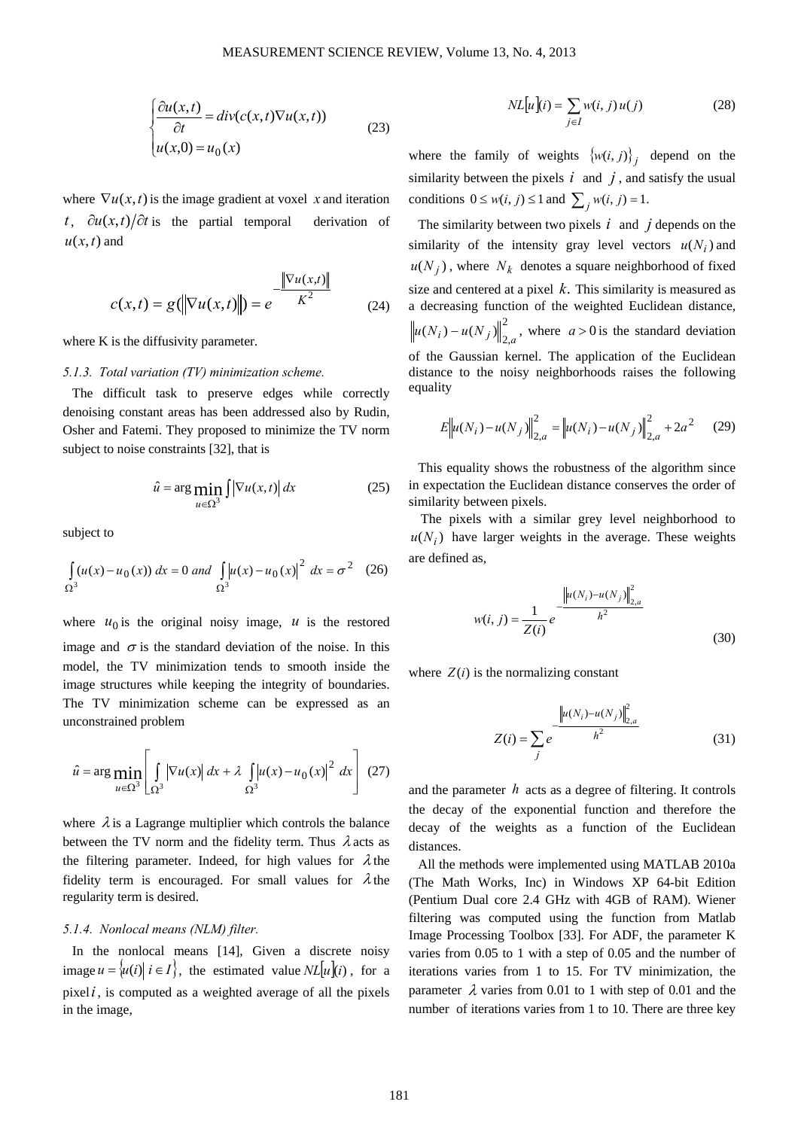$$
\begin{cases} \frac{\partial u(x,t)}{\partial t} = div(c(x,t)\nabla u(x,t)) \\ u(x,0) = u_0(x) \end{cases}
$$
 (23)

where  $\nabla u(x,t)$  is the image gradient at voxel *x* and iteration *t*,  $\partial u(x,t)/\partial t$  is the partial temporal derivation of  $u(x,t)$  and

$$
c(x,t) = g(||\nabla u(x,t)||) = e^{-\frac{||\nabla u(x,t)||}{K^2}}
$$
(24)

where K is the diffusivity parameter.

# *5.1.3. Total variation (TV) minimization scheme.*

The difficult task to preserve edges while correctly denoising constant areas has been addressed also by Rudin, Osher and Fatemi. They proposed to minimize the TV norm subject to noise constraints [32], that is

$$
\hat{u} = \arg\min_{u \in \Omega^3} \int \left| \nabla u(x, t) \right| dx \tag{25}
$$

subject to

$$
\int_{\Omega^3} (u(x) - u_0(x)) dx = 0 \text{ and } \int_{\Omega^3} |u(x) - u_0(x)|^2 dx = \sigma^2 \quad (26)
$$

where  $u_0$  is the original noisy image,  $u$  is the restored image and  $\sigma$  is the standard deviation of the noise. In this model, the TV minimization tends to smooth inside the image structures while keeping the integrity of boundaries. The TV minimization scheme can be expressed as an unconstrained problem

$$
\hat{u} = \arg\min_{u \in \Omega^3} \left[ \int_{\Omega^3} \left| \nabla u(x) \right| dx + \lambda \int_{\Omega^3} \left| u(x) - u_0(x) \right|^2 dx \right] (27)
$$

where  $\lambda$  is a Lagrange multiplier which controls the balance between the TV norm and the fidelity term. Thus  $\lambda$  acts as the filtering parameter. Indeed, for high values for  $\lambda$  the fidelity term is encouraged. For small values for  $\lambda$  the regularity term is desired.

#### *5.1.4. Nonlocal means (NLM) filter.*

In the nonlocal means [14], Given a discrete noisy image  $u = \{u(i) | i \in I\}$ , the estimated value  $NL[u](i)$ , for a pixel*i*, is computed as a weighted average of all the pixels in the image,

$$
NL[u](i) = \sum_{j \in I} w(i, j) u(j)
$$
 (28)

where the family of weights  $\{w(i, j)\}\$ i depend on the similarity between the pixels  $i$  and  $j$ , and satisfy the usual conditions  $0 \leq w(i, j) \leq 1$  and  $\sum_{i} w(i, j) = 1$ .

The similarity between two pixels  $i$  and  $j$  depends on the similarity of the intensity gray level vectors  $u(N_i)$  and  $u(N_i)$ , where  $N_k$  denotes a square neighborhood of fixed size and centered at a pixel *k*. This similarity is measured as a decreasing function of the weighted Euclidean distance,  $u(N_i) - u(N_j)\Big\|_{2,a}^2$ , where  $a > 0$  is the standard deviation of the Gaussian kernel. The application of the Euclidean distance to the noisy neighborhoods raises the following equality

$$
E\left\|u(N_i) - u(N_j)\right\|_{2,a}^2 = \left\|u(N_i) - u(N_j)\right\|_{2,a}^2 + 2a^2 \quad (29)
$$

This equality shows the robustness of the algorithm since in expectation the Euclidean distance conserves the order of similarity between pixels.

The pixels with a similar grey level neighborhood to  $u(N_i)$  have larger weights in the average. These weights are defined as,

$$
w(i, j) = \frac{1}{Z(i)} e^{-\frac{||u(N_i) - u(N_j)||_{2,a}^2}{h^2}}
$$
\n(30)

where  $Z(i)$  is the normalizing constant

$$
Z(i) = \sum_{j} e^{-\frac{\left\|u(N_{i}) - u(N_{j})\right\|_{2,a}^{2}}{h^{2}}}
$$
(31)

and the parameter *h* acts as a degree of filtering. It controls the decay of the exponential function and therefore the decay of the weights as a function of the Euclidean distances.

All the methods were implemented using MATLAB 2010a (The Math Works, Inc) in Windows XP 64-bit Edition (Pentium Dual core 2.4 GHz with 4GB of RAM). Wiener filtering was computed using the function from Matlab Image Processing Toolbox [33]. For ADF, the parameter K varies from 0.05 to 1 with a step of 0.05 and the number of iterations varies from 1 to 15. For TV minimization, the parameter  $\lambda$  varies from 0.01 to 1 with step of 0.01 and the number of iterations varies from 1 to 10. There are three key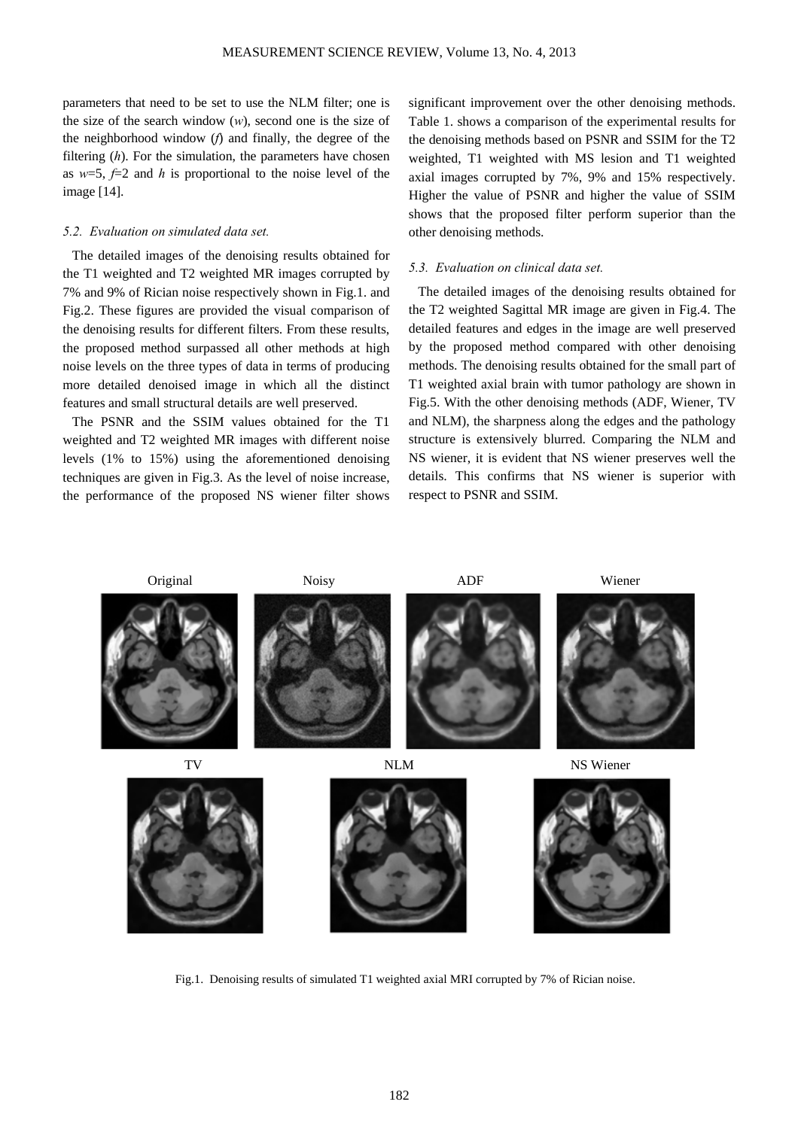parameters that need to be set to use the NLM filter; one is the size of the search window (*w*), second one is the size of the neighborhood window (*f*) and finally, the degree of the filtering (*h*). For the simulation, the parameters have chosen as  $w=5$ ,  $f=2$  and *h* is proportional to the noise level of the image [14].

# *5.2. Evaluation on simulated data set.*

The detailed images of the denoising results obtained for the T1 weighted and T2 weighted MR images corrupted by 7% and 9% of Rician noise respectively shown in Fig.1. and Fig.2. These figures are provided the visual comparison of the denoising results for different filters. From these results, the proposed method surpassed all other methods at high noise levels on the three types of data in terms of producing more detailed denoised image in which all the distinct features and small structural details are well preserved.

The PSNR and the SSIM values obtained for the T1 weighted and T2 weighted MR images with different noise levels (1% to 15%) using the aforementioned denoising techniques are given in Fig.3. As the level of noise increase, the performance of the proposed NS wiener filter shows

significant improvement over the other denoising methods. Table 1. shows a comparison of the experimental results for the denoising methods based on PSNR and SSIM for the T2 weighted, T1 weighted with MS lesion and T1 weighted axial images corrupted by 7%, 9% and 15% respectively. Higher the value of PSNR and higher the value of SSIM shows that the proposed filter perform superior than the other denoising methods.

# *5.3. Evaluation on clinical data set.*

The detailed images of the denoising results obtained for the T2 weighted Sagittal MR image are given in Fig.4. The detailed features and edges in the image are well preserved by the proposed method compared with other denoising methods. The denoising results obtained for the small part of T1 weighted axial brain with tumor pathology are shown in Fig.5. With the other denoising methods (ADF, Wiener, TV and NLM), the sharpness along the edges and the pathology structure is extensively blurred. Comparing the NLM and NS wiener, it is evident that NS wiener preserves well the details. This confirms that NS wiener is superior with respect to PSNR and SSIM.



Fig.1. Denoising results of simulated T1 weighted axial MRI corrupted by 7% of Rician noise.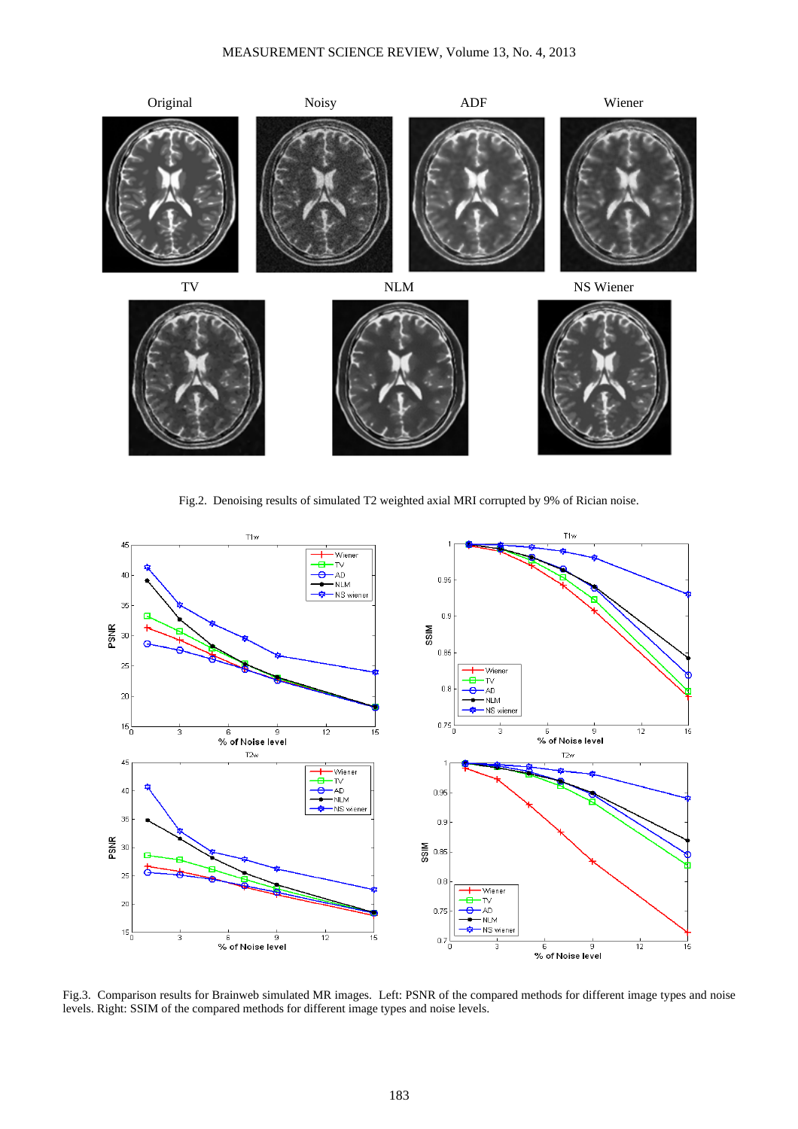

Fig.2. Denoising results of simulated T2 weighted axial MRI corrupted by 9% of Rician noise.



Fig.3. Comparison results for Brainweb simulated MR images. Left: PSNR of the compared methods for different image types and noise levels. Right: SSIM of the compared methods for different image types and noise levels.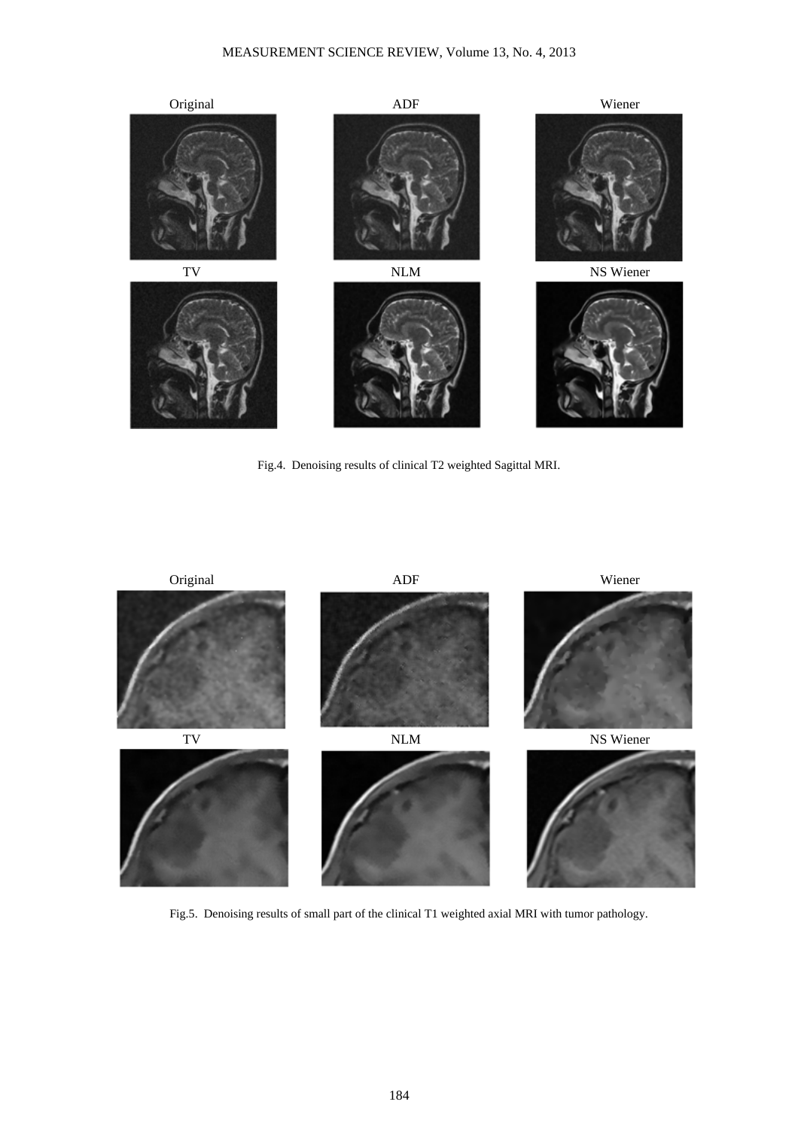

Fig.4. Denoising results of clinical T2 weighted Sagittal MRI.



Fig.5. Denoising results of small part of the clinical T1 weighted axial MRI with tumor pathology.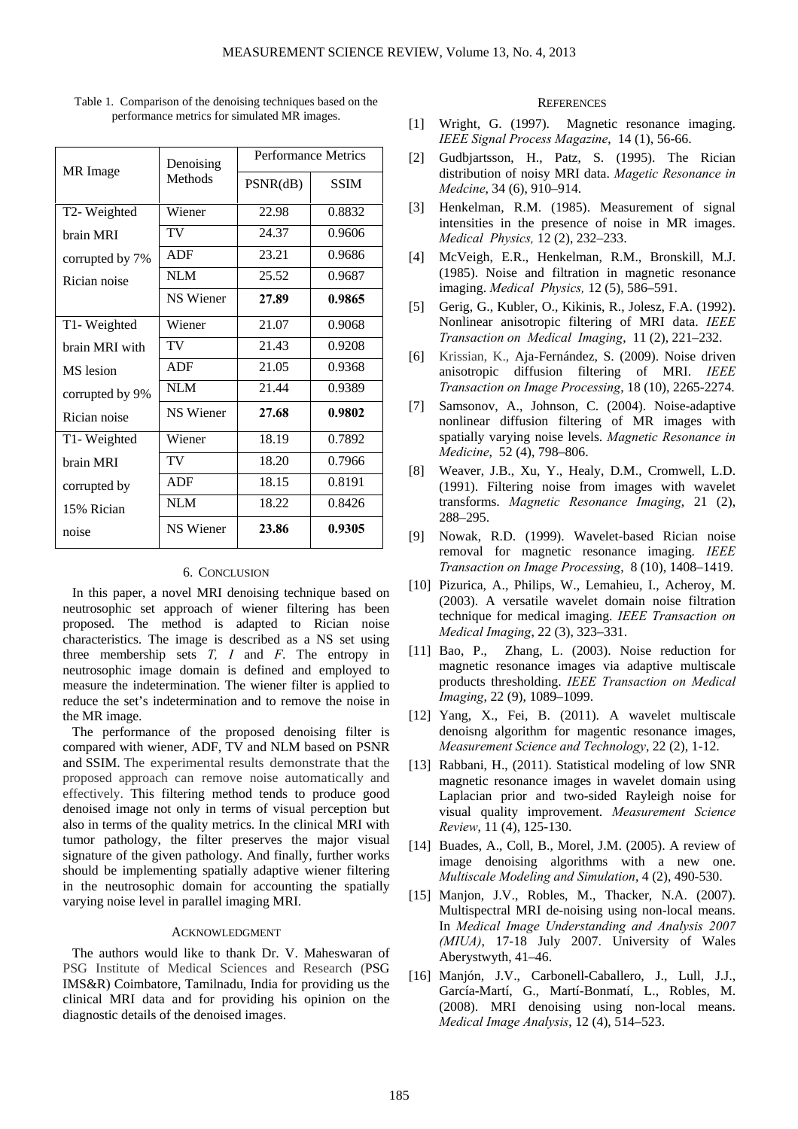| MR Image        | Denoising<br>Methods | <b>Performance Metrics</b> |             |
|-----------------|----------------------|----------------------------|-------------|
|                 |                      | PSNR(dB)                   | <b>SSIM</b> |
| T2-Weighted     | Wiener               | 22.98                      | 0.8832      |
| brain MRI       | TV                   | 24.37                      | 0.9606      |
| corrupted by 7% | ADF                  | 23.21                      | 0.9686      |
| Rician noise    | <b>NLM</b>           | 25.52                      | 0.9687      |
|                 | <b>NS Wiener</b>     | 27.89                      | 0.9865      |
| T1- Weighted    | Wiener               | 21.07                      | 0.9068      |
| brain MRI with  | TV                   | 21.43                      | 0.9208      |
| MS lesion       | ADF                  | 21.05                      | 0.9368      |
| corrupted by 9% | <b>NLM</b>           | 21.44                      | 0.9389      |
| Rician noise    | <b>NS</b> Wiener     | 27.68                      | 0.9802      |
| T1- Weighted    | Wiener               | 18.19                      | 0.7892      |
| brain MRI       | TV                   | 18.20                      | 0.7966      |
| corrupted by    | <b>ADF</b>           | 18.15                      | 0.8191      |
| 15% Rician      | <b>NLM</b>           | 18.22                      | 0.8426      |
| noise           | <b>NS</b> Wiener     | 23.86                      | 0.9305      |

Table 1. Comparison of the denoising techniques based on the performance metrics for simulated MR images.

# 6. CONCLUSION

In this paper, a novel MRI denoising technique based on neutrosophic set approach of wiener filtering has been proposed. The method is adapted to Rician noise characteristics. The image is described as a NS set using three membership sets *T, I* and *F*. The entropy in neutrosophic image domain is defined and employed to measure the indetermination. The wiener filter is applied to reduce the set's indetermination and to remove the noise in the MR image.

The performance of the proposed denoising filter is compared with wiener, ADF, TV and NLM based on PSNR and SSIM. The experimental results demonstrate that the proposed approach can remove noise automatically and effectively. This filtering method tends to produce good denoised image not only in terms of visual perception but also in terms of the quality metrics. In the clinical MRI with tumor pathology, the filter preserves the major visual signature of the given pathology. And finally, further works should be implementing spatially adaptive wiener filtering in the neutrosophic domain for accounting the spatially varying noise level in parallel imaging MRI.

# ACKNOWLEDGMENT

The authors would like to thank Dr. V. Maheswaran of PSG Institute of Medical Sciences and Research (PSG IMS&R) Coimbatore, Tamilnadu, India for providing us the clinical MRI data and for providing his opinion on the diagnostic details of the denoised images.

#### **REFERENCES**

- [1] Wright, G. (1997). Magnetic resonance imaging. *IEEE Signal Process Magazine*, 14 (1), 56-66.
- [2] Gudbiartsson, H., Patz, S. (1995). The Rician distribution of noisy MRI data. *Magetic Resonance in Medcine*, 34 (6), 910–914.
- [3] Henkelman, R.M. (1985). Measurement of signal intensities in the presence of noise in MR images. *Medical Physics,* 12 (2), 232–233.
- [4] McVeigh, E.R., Henkelman, R.M., Bronskill, M.J. (1985). Noise and filtration in magnetic resonance imaging. *Medical Physics,* 12 (5), 586–591.
- [5] Gerig, G., Kubler, O., Kikinis, R., Jolesz, F.A. (1992). Nonlinear anisotropic filtering of MRI data. *IEEE Transaction on Medical Imaging*, 11 (2), 221–232.
- [6] Krissian, K., Aja-Fernández, S. (2009). Noise driven anisotropic diffusion filtering of MRI. *IEEE Transaction on Image Processing*, 18 (10), 2265-2274.
- [7] Samsonov, A., Johnson, C. (2004). Noise-adaptive nonlinear diffusion filtering of MR images with spatially varying noise levels. *Magnetic Resonance in Medicine*, 52 (4), 798–806.
- [8] Weaver, J.B., Xu, Y., Healy, D.M., Cromwell, L.D. (1991). Filtering noise from images with wavelet transforms. *Magnetic Resonance Imaging*, 21 (2), 288–295.
- [9] Nowak, R.D. (1999). Wavelet-based Rician noise removal for magnetic resonance imaging. *IEEE Transaction on Image Processing*, 8 (10), 1408–1419.
- [10] Pizurica, A., Philips, W., Lemahieu, I., Acheroy, M. (2003). A versatile wavelet domain noise filtration technique for medical imaging. *IEEE Transaction on Medical Imaging*, 22 (3), 323–331.
- [11] Bao, P., Zhang, L. (2003). Noise reduction for magnetic resonance images via adaptive multiscale products thresholding. *IEEE Transaction on Medical Imaging*, 22 (9), 1089–1099.
- [12] Yang, X., Fei, B. (2011). A wavelet multiscale denoisng algorithm for magentic resonance images, *Measurement Science and Technology*, 22 (2), 1-12.
- [13] Rabbani, H., (2011). Statistical modeling of low SNR magnetic resonance images in wavelet domain using Laplacian prior and two-sided Rayleigh noise for visual quality improvement. *Measurement Science Review*, 11 (4), 125-130.
- [14] Buades, A., Coll, B., Morel, J.M. (2005). A review of image denoising algorithms with a new one. *Multiscale Modeling and Simulation*, 4 (2), 490-530.
- [15] Manjon, J.V., Robles, M., Thacker, N.A. (2007). Multispectral MRI de-noising using non-local means. In *Medical Image Understanding and Analysis 2007 (MIUA)*, 17-18 July 2007. University of Wales Aberystwyth, 41–46.
- [16] Manjón, J.V., Carbonell-Caballero, J., Lull, J.J., García-Martí, G., Martí-Bonmatí, L., Robles, M. (2008). MRI denoising using non-local means. *Medical Image Analysis*, 12 (4), 514–523.